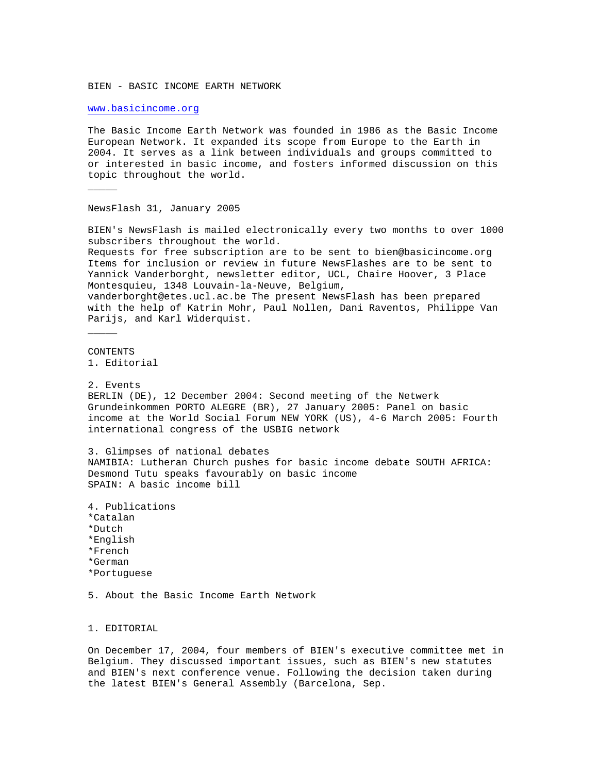BIEN - BASIC INCOME EARTH NETWORK

<www.basicincome.org>

 $\overline{\phantom{a}}$ 

The Basic Income Earth Network was founded in 1986 as the Basic Income European Network. It expanded its scope from Europe to the Earth in 2004. It serves as a link between individuals and groups committed to or interested in basic income, and fosters informed discussion on this topic throughout the world.

NewsFlash 31, January 2005

BIEN's NewsFlash is mailed electronically every two months to over 1000 subscribers throughout the world. Requests for free subscription are to be sent to bien@basicincome.org Items for inclusion or review in future NewsFlashes are to be sent to Yannick Vanderborght, newsletter editor, UCL, Chaire Hoover, 3 Place Montesquieu, 1348 Louvain-la-Neuve, Belgium, vanderborght@etes.ucl.ac.be The present NewsFlash has been prepared with the help of Katrin Mohr, Paul Nollen, Dani Raventos, Philippe Van Parijs, and Karl Widerquist.  $\overline{\phantom{a}}$ CONTENTS 1. Editorial 2. Events BERLIN (DE), 12 December 2004: Second meeting of the Netwerk Grundeinkommen PORTO ALEGRE (BR), 27 January 2005: Panel on basic income at the World Social Forum NEW YORK (US), 4-6 March 2005: Fourth international congress of the USBIG network 3. Glimpses of national debates NAMIBIA: Lutheran Church pushes for basic income debate SOUTH AFRICA: Desmond Tutu speaks favourably on basic income SPAIN: A basic income bill 4. Publications \*Catalan \*Dutch \*English

\*French

- \*German
- \*Portuguese

5. About the Basic Income Earth Network

1. EDITORIAL

On December 17, 2004, four members of BIEN's executive committee met in Belgium. They discussed important issues, such as BIEN's new statutes and BIEN's next conference venue. Following the decision taken during the latest BIEN's General Assembly (Barcelona, Sep.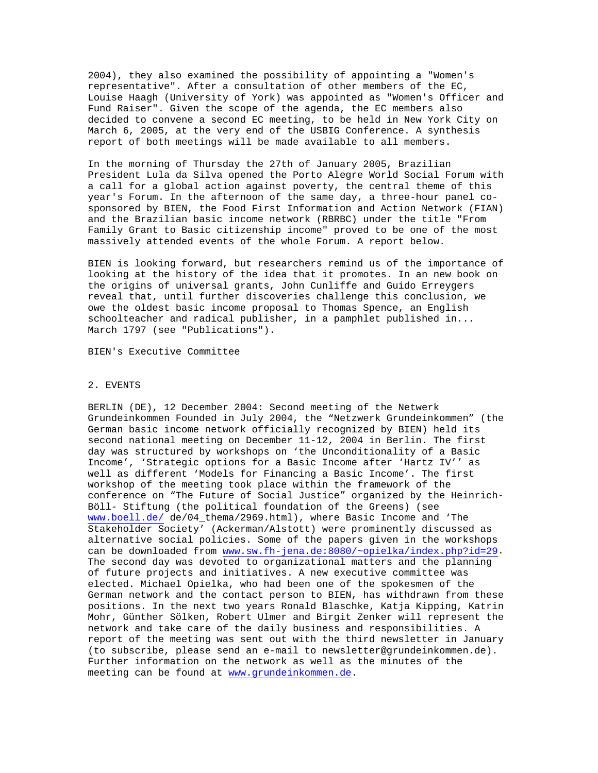2004), they also examined the possibility of appointing a "Women's representative". After a consultation of other members of the EC, Louise Haagh (University of York) was appointed as "Women's Officer and Fund Raiser". Given the scope of the agenda, the EC members also decided to convene a second EC meeting, to be held in New York City on March 6, 2005, at the very end of the USBIG Conference. A synthesis report of both meetings will be made available to all members.

In the morning of Thursday the 27th of January 2005, Brazilian President Lula da Silva opened the Porto Alegre World Social Forum with a call for a global action against poverty, the central theme of this year's Forum. In the afternoon of the same day, a three-hour panel cosponsored by BIEN, the Food First Information and Action Network (FIAN) and the Brazilian basic income network (RBRBC) under the title "From Family Grant to Basic citizenship income" proved to be one of the most massively attended events of the whole Forum. A report below.

BIEN is looking forward, but researchers remind us of the importance of looking at the history of the idea that it promotes. In an new book on the origins of universal grants, John Cunliffe and Guido Erreygers reveal that, until further discoveries challenge this conclusion, we owe the oldest basic income proposal to Thomas Spence, an English schoolteacher and radical publisher, in a pamphlet published in... March 1797 (see "Publications").

BIEN's Executive Committee

# 2. EVENTS

BERLIN (DE), 12 December 2004: Second meeting of the Netwerk Grundeinkommen Founded in July 2004, the "Netzwerk Grundeinkommen" (the German basic income network officially recognized by BIEN) held its second national meeting on December 11-12, 2004 in Berlin. The first day was structured by workshops on 'the Unconditionality of a Basic Income', 'Strategic options for a Basic Income after 'Hartz IV'' as well as different 'Models for Financing a Basic Income'. The first workshop of the meeting took place within the framework of the conference on "The Future of Social Justice" organized by the Heinrich-Böll- Stiftung (the political foundation of the Greens) (see <www.boell.de/> de/04\_thema/2969.html), where Basic Income and 'The Stakeholder Society' (Ackerman/Alstott) were prominently discussed as alternative social policies. Some of the papers given in the workshops can be downloaded from [www.sw.fh-jena.de:8080/~opielka/index.php?id=29.](www.sw.fh-jena.de:8080/%7Eopielka/index.php?id=29) The second day was devoted to organizational matters and the planning of future projects and initiatives. A new executive committee was elected. Michael Opielka, who had been one of the spokesmen of the German network and the contact person to BIEN, has withdrawn from these positions. In the next two years Ronald Blaschke, Katja Kipping, Katrin Mohr, Günther Sölken, Robert Ulmer and Birgit Zenker will represent the network and take care of the daily business and responsibilities. A report of the meeting was sent out with the third newsletter in January (to subscribe, please send an e-mail to newsletter@grundeinkommen.de). Further information on the network as well as the minutes of the meeting can be found at <www.grundeinkommen.de>.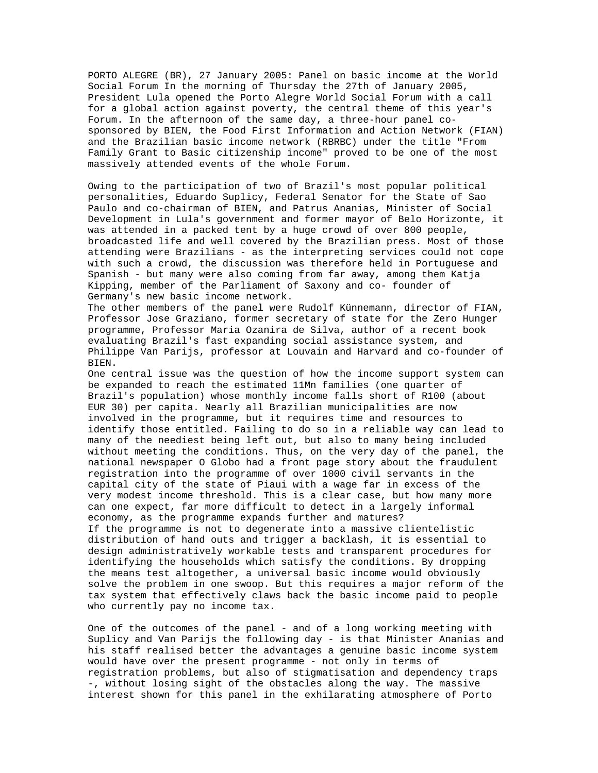PORTO ALEGRE (BR), 27 January 2005: Panel on basic income at the World Social Forum In the morning of Thursday the 27th of January 2005, President Lula opened the Porto Alegre World Social Forum with a call for a global action against poverty, the central theme of this year's Forum. In the afternoon of the same day, a three-hour panel cosponsored by BIEN, the Food First Information and Action Network (FIAN) and the Brazilian basic income network (RBRBC) under the title "From Family Grant to Basic citizenship income" proved to be one of the most massively attended events of the whole Forum.

Owing to the participation of two of Brazil's most popular political personalities, Eduardo Suplicy, Federal Senator for the State of Sao Paulo and co-chairman of BIEN, and Patrus Ananias, Minister of Social Development in Lula's government and former mayor of Belo Horizonte, it was attended in a packed tent by a huge crowd of over 800 people, broadcasted life and well covered by the Brazilian press. Most of those attending were Brazilians - as the interpreting services could not cope with such a crowd, the discussion was therefore held in Portuguese and Spanish - but many were also coming from far away, among them Katja Kipping, member of the Parliament of Saxony and co- founder of Germany's new basic income network.

The other members of the panel were Rudolf Künnemann, director of FIAN, Professor Jose Graziano, former secretary of state for the Zero Hunger programme, Professor Maria Ozanira de Silva, author of a recent book evaluating Brazil's fast expanding social assistance system, and Philippe Van Parijs, professor at Louvain and Harvard and co-founder of BIEN.

One central issue was the question of how the income support system can be expanded to reach the estimated 11Mn families (one quarter of Brazil's population) whose monthly income falls short of R100 (about EUR 30) per capita. Nearly all Brazilian municipalities are now involved in the programme, but it requires time and resources to identify those entitled. Failing to do so in a reliable way can lead to many of the neediest being left out, but also to many being included without meeting the conditions. Thus, on the very day of the panel, the national newspaper O Globo had a front page story about the fraudulent registration into the programme of over 1000 civil servants in the capital city of the state of Piaui with a wage far in excess of the very modest income threshold. This is a clear case, but how many more can one expect, far more difficult to detect in a largely informal economy, as the programme expands further and matures? If the programme is not to degenerate into a massive clientelistic distribution of hand outs and trigger a backlash, it is essential to design administratively workable tests and transparent procedures for identifying the households which satisfy the conditions. By dropping the means test altogether, a universal basic income would obviously solve the problem in one swoop. But this requires a major reform of the tax system that effectively claws back the basic income paid to people who currently pay no income tax.

One of the outcomes of the panel - and of a long working meeting with Suplicy and Van Parijs the following day - is that Minister Ananias and his staff realised better the advantages a genuine basic income system would have over the present programme - not only in terms of registration problems, but also of stigmatisation and dependency traps -, without losing sight of the obstacles along the way. The massive interest shown for this panel in the exhilarating atmosphere of Porto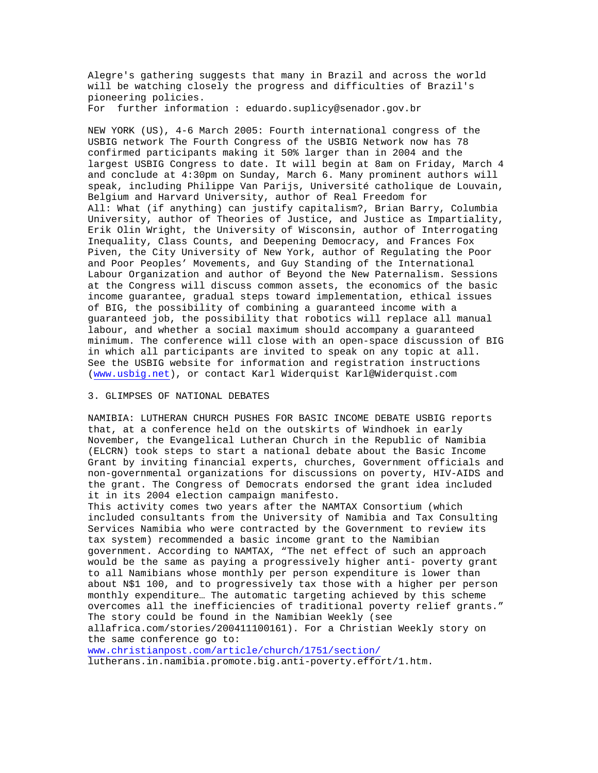Alegre's gathering suggests that many in Brazil and across the world will be watching closely the progress and difficulties of Brazil's pioneering policies. For further information : eduardo.suplicy@senador.gov.br

NEW YORK (US), 4-6 March 2005: Fourth international congress of the USBIG network The Fourth Congress of the USBIG Network now has 78 confirmed participants making it 50% larger than in 2004 and the largest USBIG Congress to date. It will begin at 8am on Friday, March 4 and conclude at 4:30pm on Sunday, March 6. Many prominent authors will speak, including Philippe Van Parijs, Université catholique de Louvain, Belgium and Harvard University, author of Real Freedom for All: What (if anything) can justify capitalism?, Brian Barry, Columbia University, author of Theories of Justice, and Justice as Impartiality, Erik Olin Wright, the University of Wisconsin, author of Interrogating Inequality, Class Counts, and Deepening Democracy, and Frances Fox Piven, the City University of New York, author of Regulating the Poor and Poor Peoples' Movements, and Guy Standing of the International Labour Organization and author of Beyond the New Paternalism. Sessions at the Congress will discuss common assets, the economics of the basic income guarantee, gradual steps toward implementation, ethical issues of BIG, the possibility of combining a guaranteed income with a guaranteed job, the possibility that robotics will replace all manual labour, and whether a social maximum should accompany a guaranteed minimum. The conference will close with an open-space discussion of BIG in which all participants are invited to speak on any topic at all. See the USBIG website for information and registration instructions [\(www.usbig.net](www.usbig.net)), or contact Karl Widerquist Karl@Widerquist.com

### 3. GLIMPSES OF NATIONAL DEBATES

NAMIBIA: LUTHERAN CHURCH PUSHES FOR BASIC INCOME DEBATE USBIG reports that, at a conference held on the outskirts of Windhoek in early November, the Evangelical Lutheran Church in the Republic of Namibia (ELCRN) took steps to start a national debate about the Basic Income Grant by inviting financial experts, churches, Government officials and non-governmental organizations for discussions on poverty, HIV-AIDS and the grant. The Congress of Democrats endorsed the grant idea included it in its 2004 election campaign manifesto.

This activity comes two years after the NAMTAX Consortium (which included consultants from the University of Namibia and Tax Consulting Services Namibia who were contracted by the Government to review its tax system) recommended a basic income grant to the Namibian government. According to NAMTAX, "The net effect of such an approach would be the same as paying a progressively higher anti- poverty grant to all Namibians whose monthly per person expenditure is lower than about N\$1 100, and to progressively tax those with a higher per person monthly expenditure… The automatic targeting achieved by this scheme overcomes all the inefficiencies of traditional poverty relief grants." The story could be found in the Namibian Weekly (see allafrica.com/stories/200411100161). For a Christian Weekly story on the same conference go to:

<www.christianpost.com/article/church/1751/section/> lutherans.in.namibia.promote.big.anti-poverty.effort/1.htm.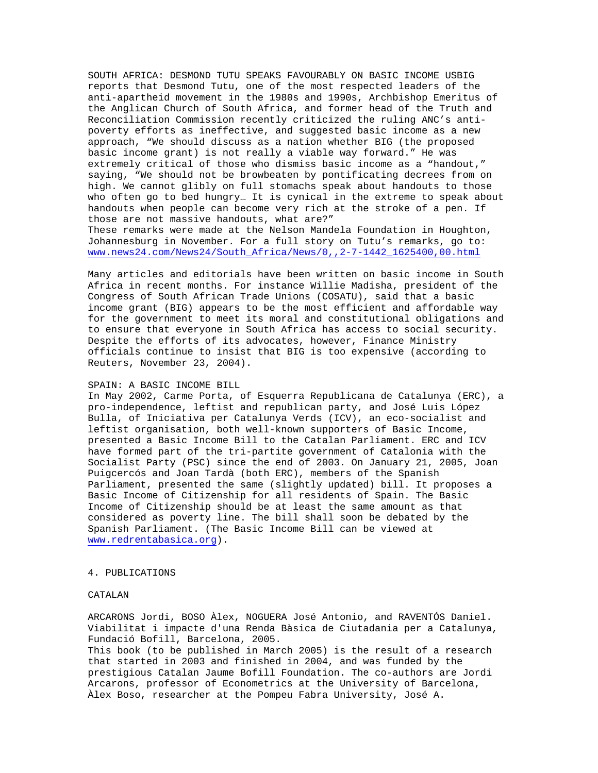SOUTH AFRICA: DESMOND TUTU SPEAKS FAVOURABLY ON BASIC INCOME USBIG reports that Desmond Tutu, one of the most respected leaders of the anti-apartheid movement in the 1980s and 1990s, Archbishop Emeritus of the Anglican Church of South Africa, and former head of the Truth and Reconciliation Commission recently criticized the ruling ANC's antipoverty efforts as ineffective, and suggested basic income as a new approach, "We should discuss as a nation whether BIG (the proposed basic income grant) is not really a viable way forward." He was extremely critical of those who dismiss basic income as a "handout," saying, "We should not be browbeaten by pontificating decrees from on high. We cannot glibly on full stomachs speak about handouts to those who often go to bed hungry… It is cynical in the extreme to speak about handouts when people can become very rich at the stroke of a pen. If those are not massive handouts, what are?" These remarks were made at the Nelson Mandela Foundation in Houghton, Johannesburg in November. For a full story on Tutu's remarks, go to:

[www.news24.com/News24/South\\_Africa/News/0,,2-7-1442\\_1625400,00.html](www.news24.com/News24/South_Africa/News/0,,2-7-1442_1625400,00.html)

Many articles and editorials have been written on basic income in South Africa in recent months. For instance Willie Madisha, president of the Congress of South African Trade Unions (COSATU), said that a basic income grant (BIG) appears to be the most efficient and affordable way for the government to meet its moral and constitutional obligations and to ensure that everyone in South Africa has access to social security. Despite the efforts of its advocates, however, Finance Ministry officials continue to insist that BIG is too expensive (according to Reuters, November 23, 2004).

### SPAIN: A BASIC INCOME BILL

In May 2002, Carme Porta, of Esquerra Republicana de Catalunya (ERC), a pro-independence, leftist and republican party, and José Luis López Bulla, of Iniciativa per Catalunya Verds (ICV), an eco-socialist and leftist organisation, both well-known supporters of Basic Income, presented a Basic Income Bill to the Catalan Parliament. ERC and ICV have formed part of the tri-partite government of Catalonia with the Socialist Party (PSC) since the end of 2003. On January 21, 2005, Joan Puigcercós and Joan Tardà (both ERC), members of the Spanish Parliament, presented the same (slightly updated) bill. It proposes a Basic Income of Citizenship for all residents of Spain. The Basic Income of Citizenship should be at least the same amount as that considered as poverty line. The bill shall soon be debated by the Spanish Parliament. (The Basic Income Bill can be viewed at <www.redrentabasica.org>).

### 4. PUBLICATIONS

### CATALAN

ARCARONS Jordi, BOSO Àlex, NOGUERA José Antonio, and RAVENTÓS Daniel. Viabilitat i impacte d'una Renda Bàsica de Ciutadania per a Catalunya, Fundació Bofill, Barcelona, 2005. This book (to be published in March 2005) is the result of a research

that started in 2003 and finished in 2004, and was funded by the prestigious Catalan Jaume Bofill Foundation. The co-authors are Jordi Arcarons, professor of Econometrics at the University of Barcelona, Àlex Boso, researcher at the Pompeu Fabra University, José A.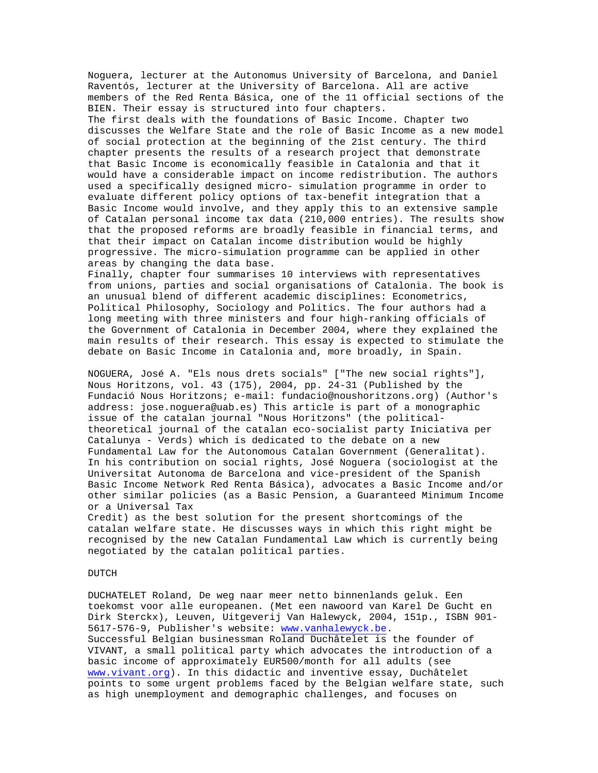Noguera, lecturer at the Autonomus University of Barcelona, and Daniel Raventós, lecturer at the University of Barcelona. All are active members of the Red Renta Básica, one of the 11 official sections of the BIEN. Their essay is structured into four chapters. The first deals with the foundations of Basic Income. Chapter two discusses the Welfare State and the role of Basic Income as a new model of social protection at the beginning of the 21st century. The third chapter presents the results of a research project that demonstrate that Basic Income is economically feasible in Catalonia and that it would have a considerable impact on income redistribution. The authors used a specifically designed micro- simulation programme in order to evaluate different policy options of tax-benefit integration that a Basic Income would involve, and they apply this to an extensive sample of Catalan personal income tax data (210,000 entries). The results show that the proposed reforms are broadly feasible in financial terms, and that their impact on Catalan income distribution would be highly progressive. The micro-simulation programme can be applied in other areas by changing the data base.

Finally, chapter four summarises 10 interviews with representatives from unions, parties and social organisations of Catalonia. The book is an unusual blend of different academic disciplines: Econometrics, Political Philosophy, Sociology and Politics. The four authors had a long meeting with three ministers and four high-ranking officials of the Government of Catalonia in December 2004, where they explained the main results of their research. This essay is expected to stimulate the debate on Basic Income in Catalonia and, more broadly, in Spain.

NOGUERA, José A. "Els nous drets socials" ["The new social rights"], Nous Horitzons, vol. 43 (175), 2004, pp. 24-31 (Published by the Fundació Nous Horitzons; e-mail: fundacio@noushoritzons.org) (Author's address: jose.noguera@uab.es) This article is part of a monographic issue of the catalan journal "Nous Horitzons" (the politicaltheoretical journal of the catalan eco-socialist party Iniciativa per Catalunya - Verds) which is dedicated to the debate on a new Fundamental Law for the Autonomous Catalan Government (Generalitat). In his contribution on social rights, José Noguera (sociologist at the Universitat Autonoma de Barcelona and vice-president of the Spanish Basic Income Network Red Renta Básica), advocates a Basic Income and/or other similar policies (as a Basic Pension, a Guaranteed Minimum Income or a Universal Tax

Credit) as the best solution for the present shortcomings of the catalan welfare state. He discusses ways in which this right might be recognised by the new Catalan Fundamental Law which is currently being negotiated by the catalan political parties.

### DUTCH

DUCHATELET Roland, De weg naar meer netto binnenlands geluk. Een toekomst voor alle europeanen. (Met een nawoord van Karel De Gucht en Dirk Sterckx), Leuven, Uitgeverij Van Halewyck, 2004, 151p., ISBN 901- 5617-576-9, Publisher's website: <www.vanhalewyck.be>. Successful Belgian businessman Roland Duchâtelet is the founder of VIVANT, a small political party which advocates the introduction of a basic income of approximately EUR500/month for all adults (see <www.vivant.org>). In this didactic and inventive essay, Duchâtelet points to some urgent problems faced by the Belgian welfare state, such as high unemployment and demographic challenges, and focuses on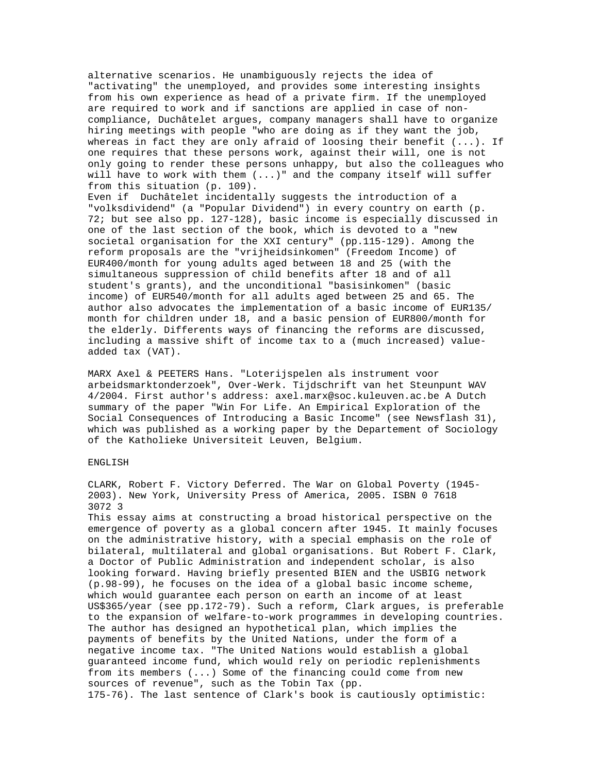alternative scenarios. He unambiguously rejects the idea of "activating" the unemployed, and provides some interesting insights from his own experience as head of a private firm. If the unemployed are required to work and if sanctions are applied in case of noncompliance, Duchâtelet argues, company managers shall have to organize hiring meetings with people "who are doing as if they want the job, whereas in fact they are only afraid of loosing their benefit  $(...).$  If one requires that these persons work, against their will, one is not only going to render these persons unhappy, but also the colleagues who will have to work with them (...)" and the company itself will suffer from this situation (p. 109). Even if Duchâtelet incidentally suggests the introduction of a "volksdividend" (a "Popular Dividend") in every country on earth (p. 72; but see also pp. 127-128), basic income is especially discussed in one of the last section of the book, which is devoted to a "new societal organisation for the XXI century" (pp.115-129). Among the reform proposals are the "vrijheidsinkomen" (Freedom Income) of EUR400/month for young adults aged between 18 and 25 (with the simultaneous suppression of child benefits after 18 and of all

student's grants), and the unconditional "basisinkomen" (basic income) of EUR540/month for all adults aged between 25 and 65. The author also advocates the implementation of a basic income of EUR135/ month for children under 18, and a basic pension of EUR800/month for the elderly. Differents ways of financing the reforms are discussed, including a massive shift of income tax to a (much increased) valueadded tax (VAT).

MARX Axel & PEETERS Hans. "Loterijspelen als instrument voor arbeidsmarktonderzoek", Over-Werk. Tijdschrift van het Steunpunt WAV 4/2004. First author's address: axel.marx@soc.kuleuven.ac.be A Dutch summary of the paper "Win For Life. An Empirical Exploration of the Social Consequences of Introducing a Basic Income" (see Newsflash 31), which was published as a working paper by the Departement of Sociology of the Katholieke Universiteit Leuven, Belgium.

# ENGLISH

CLARK, Robert F. Victory Deferred. The War on Global Poverty (1945- 2003). New York, University Press of America, 2005. ISBN 0 7618 3072 3

This essay aims at constructing a broad historical perspective on the emergence of poverty as a global concern after 1945. It mainly focuses on the administrative history, with a special emphasis on the role of bilateral, multilateral and global organisations. But Robert F. Clark, a Doctor of Public Administration and independent scholar, is also looking forward. Having briefly presented BIEN and the USBIG network (p.98-99), he focuses on the idea of a global basic income scheme, which would guarantee each person on earth an income of at least US\$365/year (see pp.172-79). Such a reform, Clark argues, is preferable to the expansion of welfare-to-work programmes in developing countries. The author has designed an hypothetical plan, which implies the payments of benefits by the United Nations, under the form of a negative income tax. "The United Nations would establish a global guaranteed income fund, which would rely on periodic replenishments from its members (...) Some of the financing could come from new sources of revenue", such as the Tobin Tax (pp. 175-76). The last sentence of Clark's book is cautiously optimistic: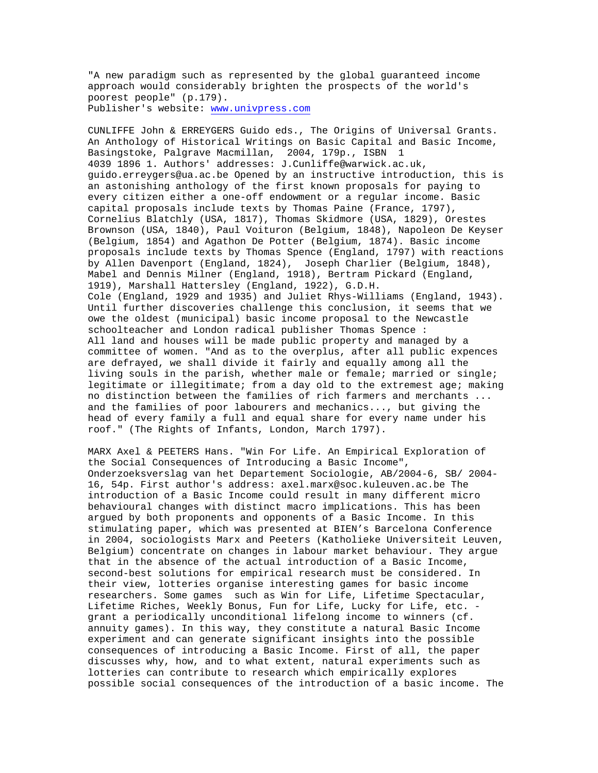"A new paradigm such as represented by the global guaranteed income approach would considerably brighten the prospects of the world's poorest people" (p.179). Publisher's website: <www.univpress.com>

CUNLIFFE John & ERREYGERS Guido eds., The Origins of Universal Grants. An Anthology of Historical Writings on Basic Capital and Basic Income, Basingstoke, Palgrave Macmillan, 2004, 179p., ISBN 1 4039 1896 1. Authors' addresses: J.Cunliffe@warwick.ac.uk, guido.erreygers@ua.ac.be Opened by an instructive introduction, this is an astonishing anthology of the first known proposals for paying to every citizen either a one-off endowment or a regular income. Basic capital proposals include texts by Thomas Paine (France, 1797), Cornelius Blatchly (USA, 1817), Thomas Skidmore (USA, 1829), Orestes Brownson (USA, 1840), Paul Voituron (Belgium, 1848), Napoleon De Keyser (Belgium, 1854) and Agathon De Potter (Belgium, 1874). Basic income proposals include texts by Thomas Spence (England, 1797) with reactions by Allen Davenport (England, 1824), Joseph Charlier (Belgium, 1848), Mabel and Dennis Milner (England, 1918), Bertram Pickard (England, 1919), Marshall Hattersley (England, 1922), G.D.H. Cole (England, 1929 and 1935) and Juliet Rhys-Williams (England, 1943). Until further discoveries challenge this conclusion, it seems that we owe the oldest (municipal) basic income proposal to the Newcastle schoolteacher and London radical publisher Thomas Spence : All land and houses will be made public property and managed by a committee of women. "And as to the overplus, after all public expences are defrayed, we shall divide it fairly and equally among all the living souls in the parish, whether male or female; married or single; legitimate or illegitimate; from a day old to the extremest age; making no distinction between the families of rich farmers and merchants ... and the families of poor labourers and mechanics..., but giving the head of every family a full and equal share for every name under his roof." (The Rights of Infants, London, March 1797).

MARX Axel & PEETERS Hans. "Win For Life. An Empirical Exploration of the Social Consequences of Introducing a Basic Income", Onderzoeksverslag van het Departement Sociologie, AB/2004-6, SB/ 2004- 16, 54p. First author's address: axel.marx@soc.kuleuven.ac.be The introduction of a Basic Income could result in many different micro behavioural changes with distinct macro implications. This has been argued by both proponents and opponents of a Basic Income. In this stimulating paper, which was presented at BIEN's Barcelona Conference in 2004, sociologists Marx and Peeters (Katholieke Universiteit Leuven, Belgium) concentrate on changes in labour market behaviour. They argue that in the absence of the actual introduction of a Basic Income, second-best solutions for empirical research must be considered. In their view, lotteries organise interesting games for basic income researchers. Some games such as Win for Life, Lifetime Spectacular, Lifetime Riches, Weekly Bonus, Fun for Life, Lucky for Life, etc. grant a periodically unconditional lifelong income to winners (cf. annuity games). In this way, they constitute a natural Basic Income experiment and can generate significant insights into the possible consequences of introducing a Basic Income. First of all, the paper discusses why, how, and to what extent, natural experiments such as lotteries can contribute to research which empirically explores possible social consequences of the introduction of a basic income. The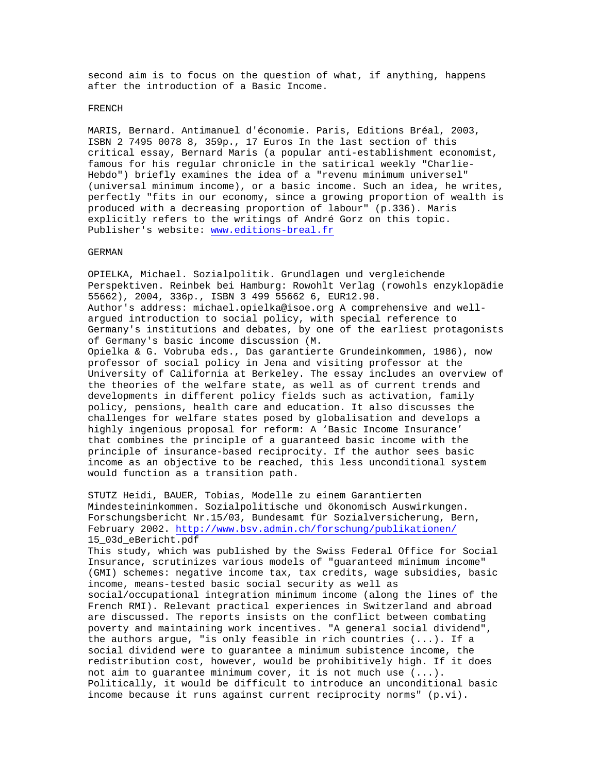second aim is to focus on the question of what, if anything, happens after the introduction of a Basic Income.

#### FRENCH

MARIS, Bernard. Antimanuel d'économie. Paris, Editions Bréal, 2003, ISBN 2 7495 0078 8, 359p., 17 Euros In the last section of this critical essay, Bernard Maris (a popular anti-establishment economist, famous for his regular chronicle in the satirical weekly "Charlie-Hebdo") briefly examines the idea of a "revenu minimum universel" (universal minimum income), or a basic income. Such an idea, he writes, perfectly "fits in our economy, since a growing proportion of wealth is produced with a decreasing proportion of labour" (p.336). Maris explicitly refers to the writings of André Gorz on this topic. Publisher's website: <www.editions-breal.fr>

# GERMAN

OPIELKA, Michael. Sozialpolitik. Grundlagen und vergleichende Perspektiven. Reinbek bei Hamburg: Rowohlt Verlag (rowohls enzyklopädie 55662), 2004, 336p., ISBN 3 499 55662 6, EUR12.90. Author's address: michael.opielka@isoe.org A comprehensive and wellargued introduction to social policy, with special reference to Germany's institutions and debates, by one of the earliest protagonists of Germany's basic income discussion (M. Opielka & G. Vobruba eds., Das garantierte Grundeinkommen, 1986), now professor of social policy in Jena and visiting professor at the University of California at Berkeley. The essay includes an overview of the theories of the welfare state, as well as of current trends and developments in different policy fields such as activation, family policy, pensions, health care and education. It also discusses the challenges for welfare states posed by globalisation and develops a highly ingenious proposal for reform: A 'Basic Income Insurance' that combines the principle of a guaranteed basic income with the principle of insurance-based reciprocity. If the author sees basic income as an objective to be reached, this less unconditional system would function as a transition path.

STUTZ Heidi, BAUER, Tobias, Modelle zu einem Garantierten Mindesteininkommen. Sozialpolitische und ökonomisch Auswirkungen. Forschungsbericht Nr.15/03, Bundesamt für Sozialversicherung, Bern, February 2002. <http://www.bsv.admin.ch/forschung/publikationen/> 15\_03d\_eBericht.pdf

This study, which was published by the Swiss Federal Office for Social Insurance, scrutinizes various models of "guaranteed minimum income" (GMI) schemes: negative income tax, tax credits, wage subsidies, basic income, means-tested basic social security as well as social/occupational integration minimum income (along the lines of the French RMI). Relevant practical experiences in Switzerland and abroad are discussed. The reports insists on the conflict between combating poverty and maintaining work incentives. "A general social dividend", the authors argue, "is only feasible in rich countries (...). If a social dividend were to guarantee a minimum subistence income, the redistribution cost, however, would be prohibitively high. If it does not aim to guarantee minimum cover, it is not much use (...). Politically, it would be difficult to introduce an unconditional basic income because it runs against current reciprocity norms" (p.vi).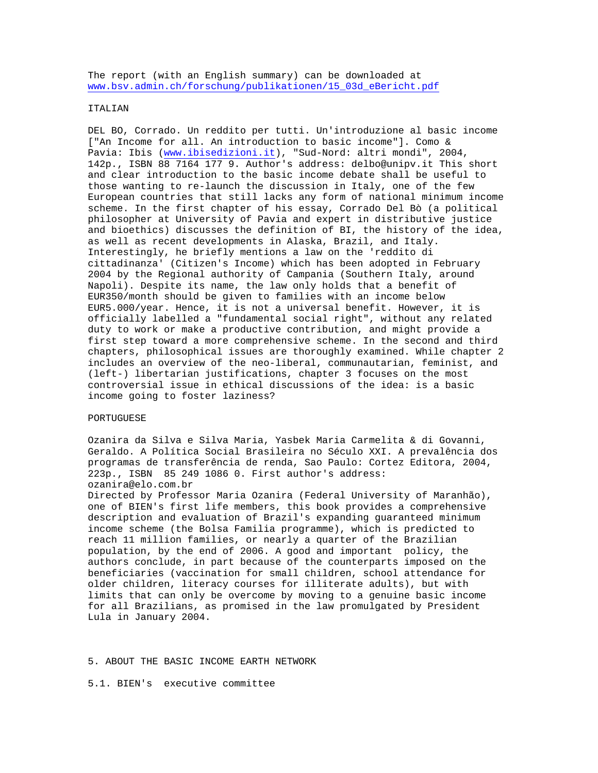The report (with an English summary) can be downloaded at [www.bsv.admin.ch/forschung/publikationen/15\\_03d\\_eBericht.pdf](www.bsv.admin.ch/forschung/publikationen/15_03d_eBericht.pdf)

### ITALIAN

DEL BO, Corrado. Un reddito per tutti. Un'introduzione al basic income ["An Income for all. An introduction to basic income"]. Como & Pavia: Ibis [\(www.ibisedizioni.it](www.ibisedizioni.it)), "Sud-Nord: altri mondi", 2004, 142p., ISBN 88 7164 177 9. Author's address: delbo@unipv.it This short and clear introduction to the basic income debate shall be useful to those wanting to re-launch the discussion in Italy, one of the few European countries that still lacks any form of national minimum income scheme. In the first chapter of his essay, Corrado Del Bò (a political philosopher at University of Pavia and expert in distributive justice and bioethics) discusses the definition of BI, the history of the idea, as well as recent developments in Alaska, Brazil, and Italy. Interestingly, he briefly mentions a law on the 'reddito di cittadinanza' (Citizen's Income) which has been adopted in February 2004 by the Regional authority of Campania (Southern Italy, around Napoli). Despite its name, the law only holds that a benefit of EUR350/month should be given to families with an income below EUR5.000/year. Hence, it is not a universal benefit. However, it is officially labelled a "fundamental social right", without any related duty to work or make a productive contribution, and might provide a first step toward a more comprehensive scheme. In the second and third chapters, philosophical issues are thoroughly examined. While chapter 2 includes an overview of the neo-liberal, communautarian, feminist, and (left-) libertarian justifications, chapter 3 focuses on the most controversial issue in ethical discussions of the idea: is a basic income going to foster laziness?

# PORTUGUESE

Ozanira da Silva e Silva Maria, Yasbek Maria Carmelita & di Govanni, Geraldo. A Política Social Brasileira no Século XXI. A prevalência dos programas de transferência de renda, Sao Paulo: Cortez Editora, 2004, 223p., ISBN 85 249 1086 0. First author's address: ozanira@elo.com.br

Directed by Professor Maria Ozanira (Federal University of Maranhão), one of BIEN's first life members, this book provides a comprehensive description and evaluation of Brazil's expanding guaranteed minimum income scheme (the Bolsa Familia programme), which is predicted to reach 11 million families, or nearly a quarter of the Brazilian population, by the end of 2006. A good and important policy, the authors conclude, in part because of the counterparts imposed on the beneficiaries (vaccination for small children, school attendance for older children, literacy courses for illiterate adults), but with limits that can only be overcome by moving to a genuine basic income for all Brazilians, as promised in the law promulgated by President Lula in January 2004.

5. ABOUT THE BASIC INCOME EARTH NETWORK

5.1. BIEN's executive committee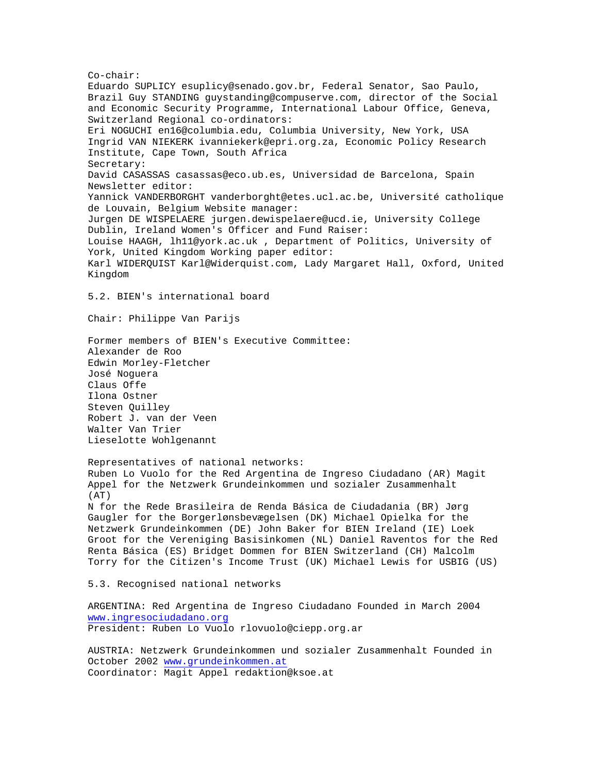Co-chair: Eduardo SUPLICY esuplicy@senado.gov.br, Federal Senator, Sao Paulo, Brazil Guy STANDING guystanding@compuserve.com, director of the Social and Economic Security Programme, International Labour Office, Geneva, Switzerland Regional co-ordinators: Eri NOGUCHI en16@columbia.edu, Columbia University, New York, USA Ingrid VAN NIEKERK ivanniekerk@epri.org.za, Economic Policy Research Institute, Cape Town, South Africa Secretary: David CASASSAS casassas@eco.ub.es, Universidad de Barcelona, Spain Newsletter editor: Yannick VANDERBORGHT vanderborght@etes.ucl.ac.be, Université catholique de Louvain, Belgium Website manager: Jurgen DE WISPELAERE jurgen.dewispelaere@ucd.ie, University College Dublin, Ireland Women's Officer and Fund Raiser: Louise HAAGH, lh11@york.ac.uk , Department of Politics, University of York, United Kingdom Working paper editor: Karl WIDERQUIST Karl@Widerquist.com, Lady Margaret Hall, Oxford, United Kingdom 5.2. BIEN's international board Chair: Philippe Van Parijs Former members of BIEN's Executive Committee:

Alexander de Roo Edwin Morley-Fletcher José Noguera Claus Offe Ilona Ostner Steven Quilley Robert J. van der Veen Walter Van Trier Lieselotte Wohlgenannt

Representatives of national networks: Ruben Lo Vuolo for the Red Argentina de Ingreso Ciudadano (AR) Magit Appel for the Netzwerk Grundeinkommen und sozialer Zusammenhalt  $(AT)$ N for the Rede Brasileira de Renda Básica de Ciudadania (BR) Jørg Gaugler for the Borgerlønsbevægelsen (DK) Michael Opielka for the Netzwerk Grundeinkommen (DE) John Baker for BIEN Ireland (IE) Loek Groot for the Vereniging Basisinkomen (NL) Daniel Raventos for the Red Renta Básica (ES) Bridget Dommen for BIEN Switzerland (CH) Malcolm Torry for the Citizen's Income Trust (UK) Michael Lewis for USBIG (US)

5.3. Recognised national networks

ARGENTINA: Red Argentina de Ingreso Ciudadano Founded in March 2004 <www.ingresociudadano.org> President: Ruben Lo Vuolo rlovuolo@ciepp.org.ar

AUSTRIA: Netzwerk Grundeinkommen und sozialer Zusammenhalt Founded in October 2002<www.grundeinkommen.at> Coordinator: Magit Appel redaktion@ksoe.at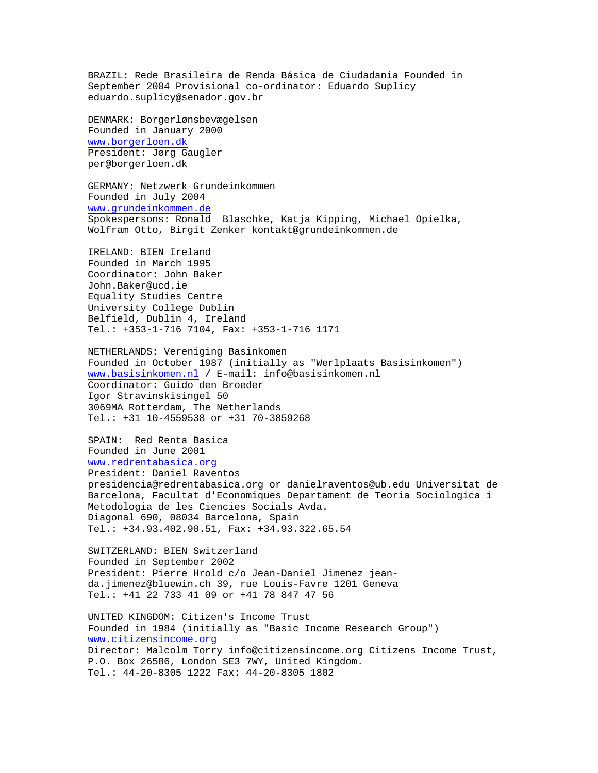BRAZIL: Rede Brasileira de Renda Básica de Ciudadania Founded in September 2004 Provisional co-ordinator: Eduardo Suplicy eduardo.suplicy@senador.gov.br DENMARK: Borgerlønsbevægelsen Founded in January 2000 <www.borgerloen.dk> President: Jørg Gaugler per@borgerloen.dk GERMANY: Netzwerk Grundeinkommen Founded in July 2004 <www.grundeinkommen.de> Spokespersons: Ronald Blaschke, Katja Kipping, Michael Opielka, Wolfram Otto, Birgit Zenker kontakt@grundeinkommen.de IRELAND: BIEN Ireland Founded in March 1995 Coordinator: John Baker John.Baker@ucd.ie Equality Studies Centre University College Dublin Belfield, Dublin 4, Ireland Tel.: +353-1-716 7104, Fax: +353-1-716 1171 NETHERLANDS: Vereniging Basinkomen Founded in October 1987 (initially as "Werlplaats Basisinkomen") <www.basisinkomen.nl> / E-mail: info@basisinkomen.nl Coordinator: Guido den Broeder Igor Stravinskisingel 50 3069MA Rotterdam, The Netherlands Tel.: +31 10-4559538 or +31 70-3859268 SPAIN: Red Renta Basica Founded in June 2001 <www.redrentabasica.org> President: Daniel Raventos presidencia@redrentabasica.org or danielraventos@ub.edu Universitat de Barcelona, Facultat d'Economiques Departament de Teoria Sociologica i Metodologia de les Ciencies Socials Avda. Diagonal 690, 08034 Barcelona, Spain Tel.: +34.93.402.90.51, Fax: +34.93.322.65.54 SWITZERLAND: BIEN Switzerland Founded in September 2002 President: Pierre Hrold c/o Jean-Daniel Jimenez jeanda.jimenez@bluewin.ch 39, rue Louis-Favre 1201 Geneva Tel.: +41 22 733 41 09 or +41 78 847 47 56 UNITED KINGDOM: Citizen's Income Trust Founded in 1984 (initially as "Basic Income Research Group") <www.citizensincome.org> Director: Malcolm Torry info@citizensincome.org Citizens Income Trust, P.O. Box 26586, London SE3 7WY, United Kingdom. Tel.: 44-20-8305 1222 Fax: 44-20-8305 1802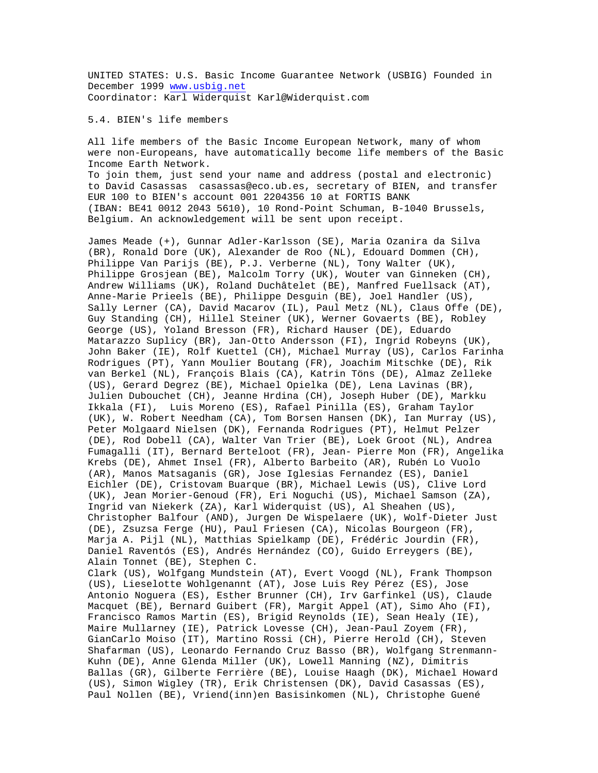UNITED STATES: U.S. Basic Income Guarantee Network (USBIG) Founded in December 1999 <www.usbig.net> Coordinator: Karl Widerquist Karl@Widerquist.com

5.4. BIEN's life members

All life members of the Basic Income European Network, many of whom were non-Europeans, have automatically become life members of the Basic Income Earth Network.

To join them, just send your name and address (postal and electronic) to David Casassas casassas@eco.ub.es, secretary of BIEN, and transfer EUR 100 to BIEN's account 001 2204356 10 at FORTIS BANK (IBAN: BE41 0012 2043 5610), 10 Rond-Point Schuman, B-1040 Brussels, Belgium. An acknowledgement will be sent upon receipt.

James Meade (+), Gunnar Adler-Karlsson (SE), Maria Ozanira da Silva (BR), Ronald Dore (UK), Alexander de Roo (NL), Edouard Dommen (CH), Philippe Van Parijs (BE), P.J. Verberne (NL), Tony Walter (UK), Philippe Grosjean (BE), Malcolm Torry (UK), Wouter van Ginneken (CH), Andrew Williams (UK), Roland Duchâtelet (BE), Manfred Fuellsack (AT), Anne-Marie Prieels (BE), Philippe Desguin (BE), Joel Handler (US), Sally Lerner (CA), David Macarov (IL), Paul Metz (NL), Claus Offe (DE), Guy Standing (CH), Hillel Steiner (UK), Werner Govaerts (BE), Robley George (US), Yoland Bresson (FR), Richard Hauser (DE), Eduardo Matarazzo Suplicy (BR), Jan-Otto Andersson (FI), Ingrid Robeyns (UK), John Baker (IE), Rolf Kuettel (CH), Michael Murray (US), Carlos Farinha Rodrigues (PT), Yann Moulier Boutang (FR), Joachim Mitschke (DE), Rik van Berkel (NL), François Blais (CA), Katrin Töns (DE), Almaz Zelleke (US), Gerard Degrez (BE), Michael Opielka (DE), Lena Lavinas (BR), Julien Dubouchet (CH), Jeanne Hrdina (CH), Joseph Huber (DE), Markku Ikkala (FI), Luis Moreno (ES), Rafael Pinilla (ES), Graham Taylor (UK), W. Robert Needham (CA), Tom Borsen Hansen (DK), Ian Murray (US), Peter Molgaard Nielsen (DK), Fernanda Rodrigues (PT), Helmut Pelzer (DE), Rod Dobell (CA), Walter Van Trier (BE), Loek Groot (NL), Andrea Fumagalli (IT), Bernard Berteloot (FR), Jean- Pierre Mon (FR), Angelika Krebs (DE), Ahmet Insel (FR), Alberto Barbeito (AR), Rubén Lo Vuolo (AR), Manos Matsaganis (GR), Jose Iglesias Fernandez (ES), Daniel Eichler (DE), Cristovam Buarque (BR), Michael Lewis (US), Clive Lord (UK), Jean Morier-Genoud (FR), Eri Noguchi (US), Michael Samson (ZA), Ingrid van Niekerk (ZA), Karl Widerquist (US), Al Sheahen (US), Christopher Balfour (AND), Jurgen De Wispelaere (UK), Wolf-Dieter Just (DE), Zsuzsa Ferge (HU), Paul Friesen (CA), Nicolas Bourgeon (FR), Marja A. Pijl (NL), Matthias Spielkamp (DE), Frédéric Jourdin (FR), Daniel Raventós (ES), Andrés Hernández (CO), Guido Erreygers (BE), Alain Tonnet (BE), Stephen C. Clark (US), Wolfgang Mundstein (AT), Evert Voogd (NL), Frank Thompson (US), Lieselotte Wohlgenannt (AT), Jose Luis Rey Pérez (ES), Jose Antonio Noguera (ES), Esther Brunner (CH), Irv Garfinkel (US), Claude Macquet (BE), Bernard Guibert (FR), Margit Appel (AT), Simo Aho (FI), Francisco Ramos Martin (ES), Brigid Reynolds (IE), Sean Healy (IE), Maire Mullarney (IE), Patrick Lovesse (CH), Jean-Paul Zoyem (FR), GianCarlo Moiso (IT), Martino Rossi (CH), Pierre Herold (CH), Steven Shafarman (US), Leonardo Fernando Cruz Basso (BR), Wolfgang Strenmann-Kuhn (DE), Anne Glenda Miller (UK), Lowell Manning (NZ), Dimitris Ballas (GR), Gilberte Ferrière (BE), Louise Haagh (DK), Michael Howard (US), Simon Wigley (TR), Erik Christensen (DK), David Casassas (ES), Paul Nollen (BE), Vriend(inn)en Basisinkomen (NL), Christophe Guené